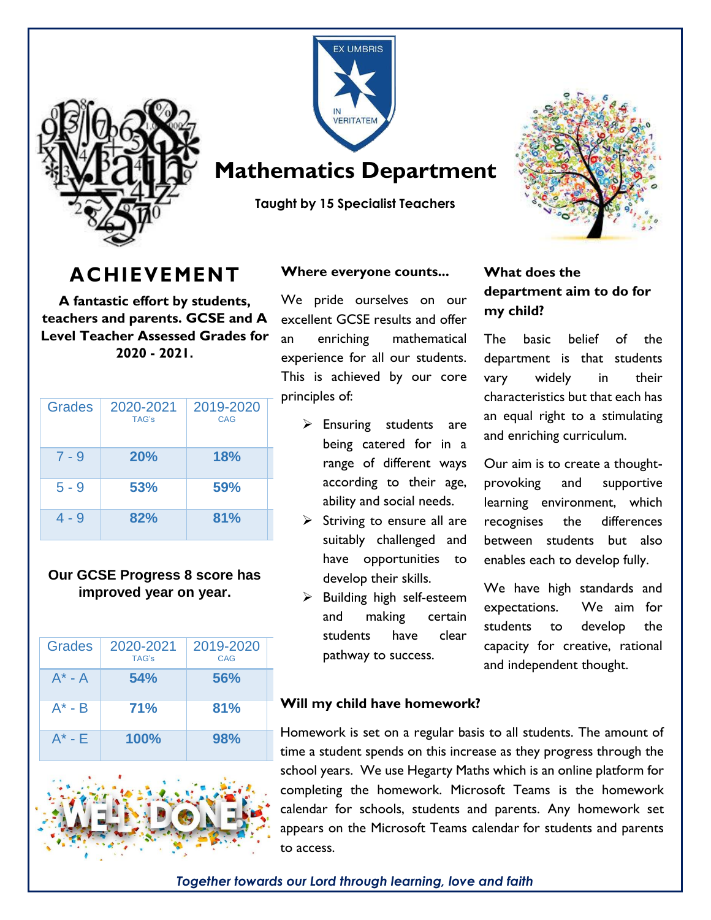



## **Mathematics Department**

**Taught by 15 Specialist Teachers** 

# **ACHIEVEMENT**

**A fantastic effort by students, teachers and parents. GCSE and A Level Teacher Assessed Grades for 2020 - 2021.**

| <b>Grades</b> | 2020-2021<br>TAG's | 2019-2020<br>CAG |
|---------------|--------------------|------------------|
| $7 - 9$       | 20%                | <b>18%</b>       |
| $5 - 9$       | 53%                | 59%              |
| 4 - 9         | 82%                | 81%              |

#### **Our GCSE Progress 8 score has improved year on year.**

| Grades      | 2020-2021<br>TAG's | 2019-2020<br>CAG |
|-------------|--------------------|------------------|
| $A^*$ - A   | 54%                | 56%              |
| $A^*$ - $B$ | <b>71%</b>         | 81%              |
| $A^*$ - $F$ | <b>100%</b>        | 98%              |



 $\overline{a}$ 

#### **Where everyone counts...**

We pride ourselves on our excellent GCSE results and offer an enriching mathematical experience for all our students. This is achieved by our core principles of:

- $\triangleright$  Ensuring students are being catered for in a range of different ways according to their age, ability and social needs.
- $\triangleright$  Striving to ensure all are suitably challenged and have opportunities to develop their skills.
- $\triangleright$  Building high self-esteem and making certain students have clear pathway to success.

#### **What does the department aim to do for my child?**

The basic belief of the department is that students vary widely in their characteristics but that each has an equal right to a stimulating and enriching curriculum.

Our aim is to create a thoughtprovoking and supportive learning environment, which recognises the differences between students but also enables each to develop fully.

We have high standards and expectations. We aim for students to develop the capacity for creative, rational and independent thought.

#### **Will my child have homework?**

Homework is set on a regular basis to all students. The amount of time a student spends on this increase as they progress through the school years. We use Hegarty Maths which is an online platform for completing the homework. Microsoft Teams is the homework calendar for schools, students and parents. Any homework set appears on the Microsoft Teams calendar for students and parents to access.

*Together towards our Lord through learning, love and faith*